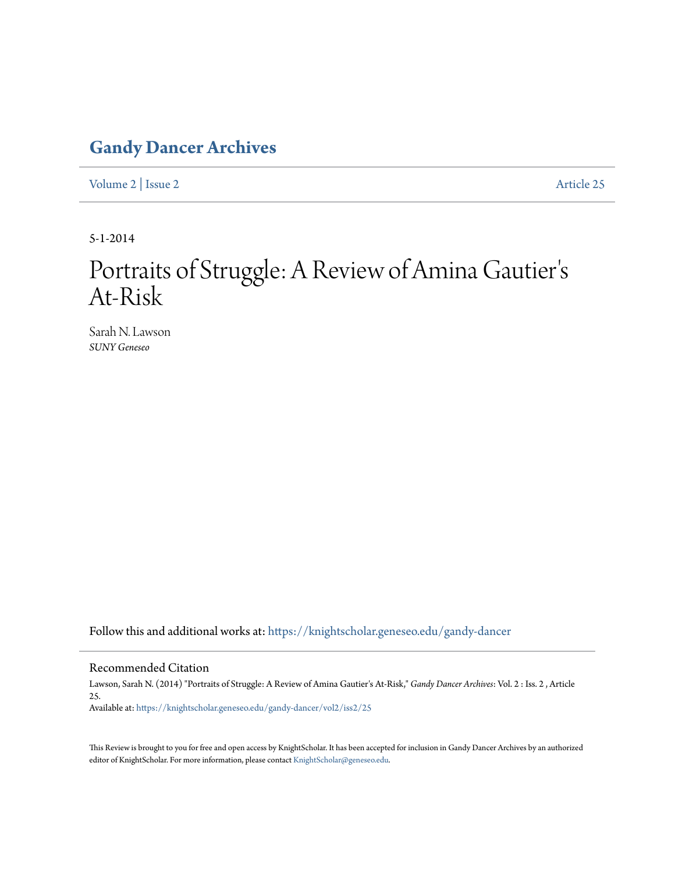## **[Gandy Dancer Archives](https://knightscholar.geneseo.edu/gandy-dancer?utm_source=knightscholar.geneseo.edu%2Fgandy-dancer%2Fvol2%2Fiss2%2F25&utm_medium=PDF&utm_campaign=PDFCoverPages)**

[Volume 2](https://knightscholar.geneseo.edu/gandy-dancer/vol2?utm_source=knightscholar.geneseo.edu%2Fgandy-dancer%2Fvol2%2Fiss2%2F25&utm_medium=PDF&utm_campaign=PDFCoverPages) | [Issue 2](https://knightscholar.geneseo.edu/gandy-dancer/vol2/iss2?utm_source=knightscholar.geneseo.edu%2Fgandy-dancer%2Fvol2%2Fiss2%2F25&utm_medium=PDF&utm_campaign=PDFCoverPages) [Article 25](https://knightscholar.geneseo.edu/gandy-dancer/vol2/iss2/25?utm_source=knightscholar.geneseo.edu%2Fgandy-dancer%2Fvol2%2Fiss2%2F25&utm_medium=PDF&utm_campaign=PDFCoverPages)

5-1-2014

## Portraits of Struggle: A Review of Amina Gautier ' s At-Risk

Sarah N. Lawson *SUNY Geneseo*

Follow this and additional works at: [https://knightscholar.geneseo.edu/gandy-dancer](https://knightscholar.geneseo.edu/gandy-dancer?utm_source=knightscholar.geneseo.edu%2Fgandy-dancer%2Fvol2%2Fiss2%2F25&utm_medium=PDF&utm_campaign=PDFCoverPages)

## Recommended Citation

Lawson, Sarah N. (2014) "Portraits of Struggle: A Review of Amina Gautier's At-Risk," *Gandy Dancer Archives*: Vol. 2 : Iss. 2 , Article 25. Available at: [https://knightscholar.geneseo.edu/gandy-dancer/vol2/iss2/25](https://knightscholar.geneseo.edu/gandy-dancer/vol2/iss2/25?utm_source=knightscholar.geneseo.edu%2Fgandy-dancer%2Fvol2%2Fiss2%2F25&utm_medium=PDF&utm_campaign=PDFCoverPages)

This Review is brought to you for free and open access by KnightScholar. It has been accepted for inclusion in Gandy Dancer Archives by an authorized editor of KnightScholar. For more information, please contact [KnightScholar@geneseo.edu.](mailto:KnightScholar@geneseo.edu)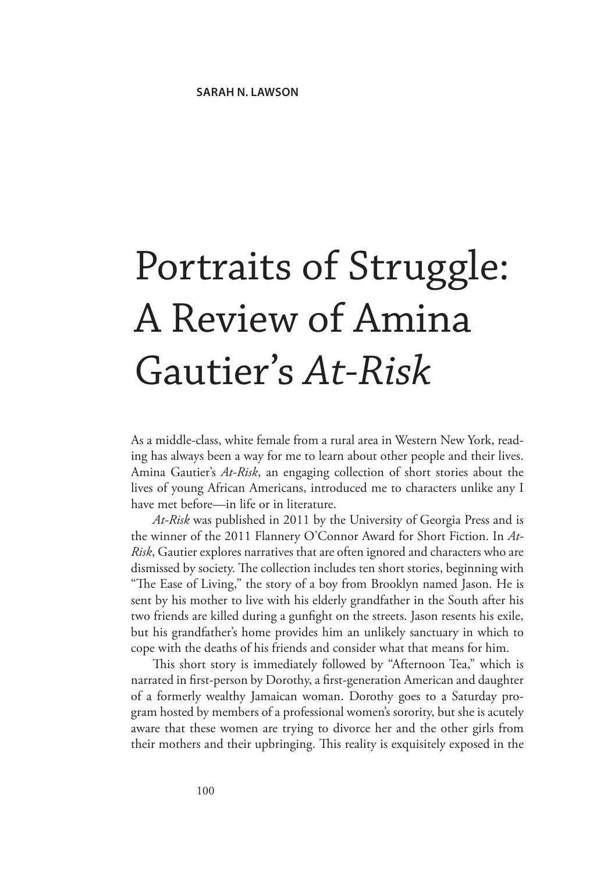## Portraits of Struggle: A Review of Amina Gautier's *At-Risk*

As a middle-class, white female from a rural area in Western New York, reading has always been a way for me to learn about other people and their lives. Amina Gautier's *At-Risk*, an engaging collection of short stories about the lives of young African Americans, introduced me to characters unlike any I have met before—in life or in literature.

*At-Risk* was published in 2011 by the University of Georgia Press and is the winner of the 2011 Flannery O'Connor Award for Short Fiction. In *At-Risk*, Gautier explores narratives that are often ignored and characters who are dismissed by society. The collection includes ten short stories, beginning with "The Ease of Living," the story of a boy from Brooklyn named Jason. He is sent by his mother to live with his elderly grandfather in the South after his two friends are killed during a gunfight on the streets. Jason resents his exile, but his grandfather's home provides him an unlikely sanctuary in which to cope with the deaths of his friends and consider what that means for him.

This short story is immediately followed by "Afternoon Tea," which is narrated in first-person by Dorothy, a first-generation American and daughter of a formerly wealthy Jamaican woman. Dorothy goes to a Saturday program hosted by members of a professional women's sorority, but she is acutely aware that these women are trying to divorce her and the other girls from their mothers and their upbringing. This reality is exquisitely exposed in the